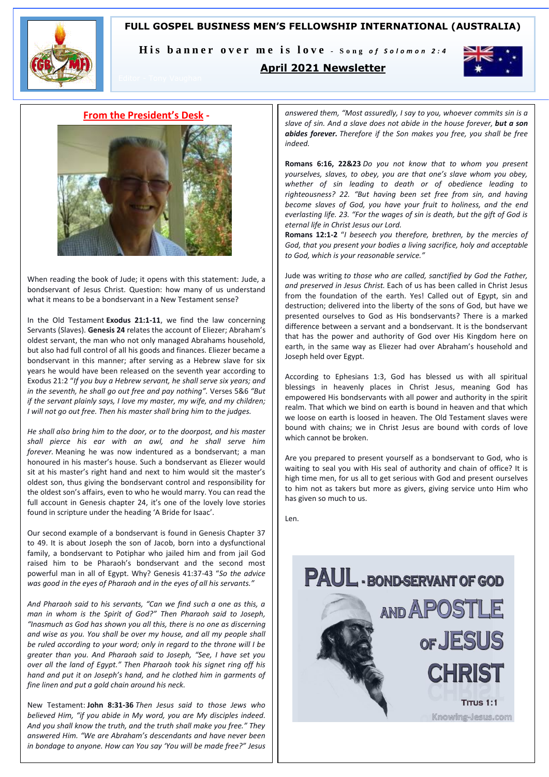# **FULL GOSPEL BUSINESS MEN'S FELLOWSHIP INTERNATIONAL (AUSTRALIA)**



His banner over me is love - Song of Solomon 2:4

# **April 2021 Newsletter**



# **From the President's Desk -**



When reading the book of Jude; it opens with this statement: Jude, a bondservant of Jesus Christ. Question: how many of us understand what it means to be a bondservant in a New Testament sense?

In the Old Testament **Exodus 21:1-11**, we find the law concerning Servants (Slaves). **Genesis 24** relates the account of Eliezer; Abraham's oldest servant, the man who not only managed Abrahams household, but also had full control of all his goods and finances. Eliezer became a bondservant in this manner; after serving as a Hebrew slave for six years he would have been released on the seventh year according to Exodus 21:2 "*If you buy a Hebrew servant, he shall serve six years; and in the seventh, he shall go out free and pay nothing".* Verses 5&6 *"But if the servant plainly says, I love my master, my wife, and my children; I will not go out free. Then his master shall bring him to the judges.* 

*He shall also bring him to the door, or to the doorpost, and his master shall pierce his ear with an awl, and he shall serve him forever.* Meaning he was now indentured as a bondservant; a man honoured in his master's house. Such a bondservant as Eliezer would sit at his master's right hand and next to him would sit the master's oldest son, thus giving the bondservant control and responsibility for the oldest son's affairs, even to who he would marry. You can read the full account in Genesis chapter 24, it's one of the lovely love stories found in scripture under the heading 'A Bride for Isaac'.

Our second example of a bondservant is found in Genesis Chapter 37 to 49. It is about Joseph the son of Jacob, born into a dysfunctional family, a bondservant to Potiphar who jailed him and from jail God raised him to be Pharaoh's bondservant and the second most powerful man in all of Egypt. Why? Genesis 41:37-43 "*So the advice was good in the eyes of Pharaoh and in the eyes of all his servants."*

*And Pharaoh said to his servants, "Can we find such a one as this, a man in whom is the Spirit of God?" Then Pharaoh said to Joseph, "Inasmuch as God has shown you all this, there is no one as discerning and wise as you. You shall be over my house, and all my people shall be ruled according to your word; only in regard to the throne will I be greater than you. And Pharaoh said to Joseph, "See, I have set you over all the land of Egypt." Then Pharaoh took his signet ring off his hand and put it on Joseph's hand, and he clothed him in garments of fine linen and put a gold chain around his neck.*

New Testament: **John 8:31-36** *Then Jesus said to those Jews who believed Him, "if you abide in My word, you are My disciples indeed. And you shall know the truth, and the truth shall make you free." They answered Him. "We are Abraham's descendants and have never been in bondage to anyone. How can You say 'You will be made free?" Jesus*

*answered them, "Most assuredly, I say to you, whoever commits sin is a slave of sin. And a slave does not abide in the house forever, but a son abides forever. Therefore if the Son makes you free, you shall be free indeed.*

**Romans 6:16, 22&23** *Do you not know that to whom you present yourselves, slaves, to obey, you are that one's slave whom you obey, whether of sin leading to death or of obedience leading to righteousness? 22. "But having been set free from sin, and having become slaves of God, you have your fruit to holiness, and the end everlasting life. 23. "For the wages of sin is death, but the gift of God is eternal life in Christ Jesus our Lord.* 

**Romans 12:1-2** "*I beseech you therefore, brethren, by the mercies of God, that you present your bodies a living sacrifice, holy and acceptable to God, which is your reasonable service."*

Jude was writing *to those who are called, sanctified by God the Father, and preserved in Jesus Christ.* Each of us has been called in Christ Jesus from the foundation of the earth. Yes! Called out of Egypt, sin and destruction; delivered into the liberty of the sons of God, but have we presented ourselves to God as His bondservants? There is a marked difference between a servant and a bondservant. It is the bondservant that has the power and authority of God over His Kingdom here on earth, in the same way as Eliezer had over Abraham's household and Joseph held over Egypt.

According to Ephesians 1:3, God has blessed us with all spiritual blessings in heavenly places in Christ Jesus, meaning God has empowered His bondservants with all power and authority in the spirit realm. That which we bind on earth is bound in heaven and that which we loose on earth is loosed in heaven. The Old Testament slaves were bound with chains; we in Christ Jesus are bound with cords of love which cannot be broken.

Are you prepared to present yourself as a bondservant to God, who is waiting to seal you with His seal of authority and chain of office? It is high time men, for us all to get serious with God and present ourselves to him not as takers but more as givers, giving service unto Him who has given so much to us.

Len.

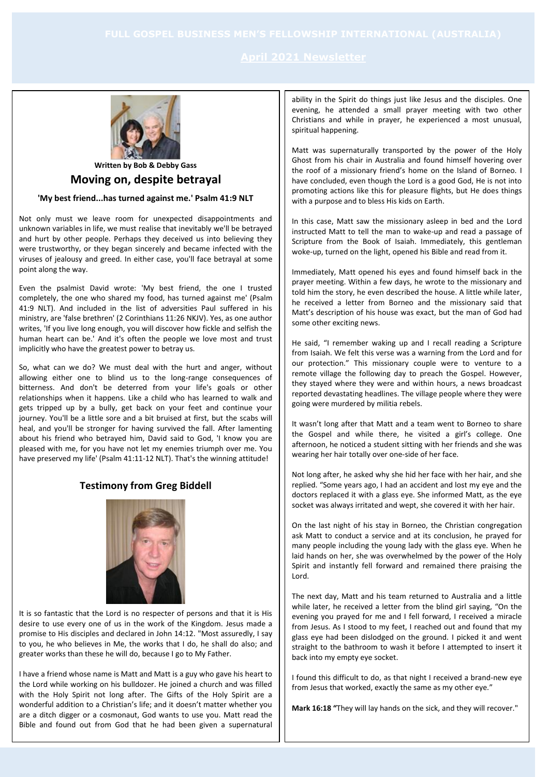

# **Written by Bob & Debby Gass Moving on, despite betrayal**

# **'My best friend...has turned against me.' Psalm 41:9 NLT**

Not only must we leave room for unexpected disappointments and unknown variables in life, we must realise that inevitably we'll be betrayed and hurt by other people. Perhaps they deceived us into believing they were trustworthy, or they began sincerely and became infected with the viruses of jealousy and greed. In either case, you'll face betrayal at some point along the way.

Even the psalmist David wrote: 'My best friend, the one I trusted completely, the one who shared my food, has turned against me' (Psalm 41:9 NLT). And included in the list of adversities Paul suffered in his ministry, are 'false brethren' (2 Corinthians 11:26 NKJV). Yes, as one author writes, 'If you live long enough, you will discover how fickle and selfish the human heart can be.' And it's often the people we love most and trust implicitly who have the greatest power to betray us.

So, what can we do? We must deal with the hurt and anger, without allowing either one to blind us to the long-range consequences of bitterness. And don't be deterred from your life's goals or other relationships when it happens. Like a child who has learned to walk and gets tripped up by a bully, get back on your feet and continue your journey. You'll be a little sore and a bit bruised at first, but the scabs will heal, and you'll be stronger for having survived the fall. After lamenting about his friend who betrayed him, David said to God, 'I know you are pleased with me, for you have not let my enemies triumph over me. You have preserved my life' (Psalm 41:11-12 NLT). That's the winning attitude!

# **Testimony from Greg Biddell**



It is so fantastic that the Lord is no respecter of persons and that it is His desire to use every one of us in the work of the Kingdom. Jesus made a promise to His disciples and declared in John 14:12. "Most assuredly, I say to you, he who believes in Me, the works that I do, he shall do also; and greater works than these he will do, because I go to My Father.

I have a friend whose name is Matt and Matt is a guy who gave his heart to the Lord while working on his bulldozer. He joined a church and was filled with the Holy Spirit not long after. The Gifts of the Holy Spirit are a wonderful addition to a Christian's life; and it doesn't matter whether you are a ditch digger or a cosmonaut, God wants to use you. Matt read the Bible and found out from God that he had been given a supernatural ability in the Spirit do things just like Jesus and the disciples. One evening, he attended a small prayer meeting with two other Christians and while in prayer, he experienced a most unusual, spiritual happening.

Matt was supernaturally transported by the power of the Holy Ghost from his chair in Australia and found himself hovering over the roof of a missionary friend's home on the Island of Borneo. I have concluded, even though the Lord is a good God, He is not into promoting actions like this for pleasure flights, but He does things with a purpose and to bless His kids on Earth.

In this case, Matt saw the missionary asleep in bed and the Lord instructed Matt to tell the man to wake-up and read a passage of Scripture from the Book of Isaiah. Immediately, this gentleman woke-up, turned on the light, opened his Bible and read from it.

Immediately, Matt opened his eyes and found himself back in the prayer meeting. Within a few days, he wrote to the missionary and told him the story, he even described the house. A little while later, he received a letter from Borneo and the missionary said that Matt's description of his house was exact, but the man of God had some other exciting news.

He said, "I remember waking up and I recall reading a Scripture from Isaiah. We felt this verse was a warning from the Lord and for our protection." This missionary couple were to venture to a remote village the following day to preach the Gospel. However, they stayed where they were and within hours, a news broadcast reported devastating headlines. The village people where they were going were murdered by militia rebels.

It wasn't long after that Matt and a team went to Borneo to share the Gospel and while there, he visited a girl's college. One afternoon, he noticed a student sitting with her friends and she was wearing her hair totally over one-side of her face.

Not long after, he asked why she hid her face with her hair, and she replied. "Some years ago, I had an accident and lost my eye and the doctors replaced it with a glass eye. She informed Matt, as the eye socket was always irritated and wept, she covered it with her hair.

On the last night of his stay in Borneo, the Christian congregation ask Matt to conduct a service and at its conclusion, he prayed for many people including the young lady with the glass eye. When he laid hands on her, she was overwhelmed by the power of the Holy Spirit and instantly fell forward and remained there praising the Lord.

The next day, Matt and his team returned to Australia and a little while later, he received a letter from the blind girl saying, "On the evening you prayed for me and I fell forward, I received a miracle from Jesus. As I stood to my feet, I reached out and found that my glass eye had been dislodged on the ground. I picked it and went straight to the bathroom to wash it before I attempted to insert it back into my empty eye socket.

I found this difficult to do, as that night I received a brand-new eye from Jesus that worked, exactly the same as my other eye."

**Mark 16:18 "**They will lay hands on the sick, and they will recover."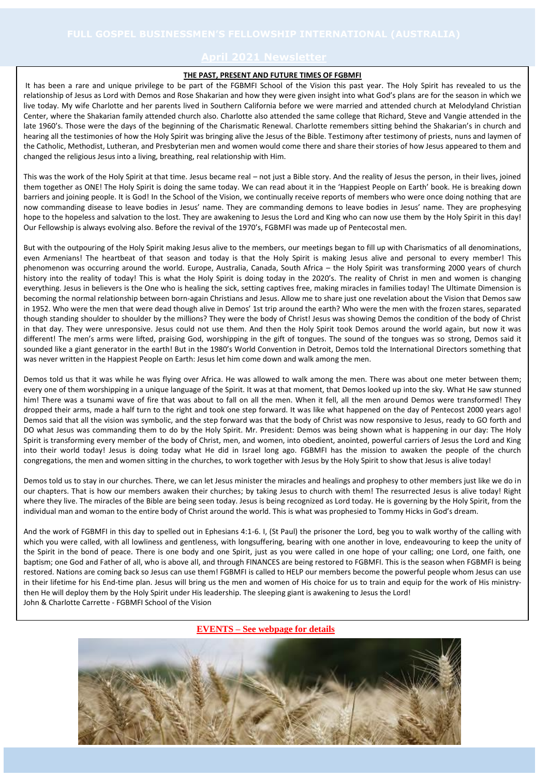### **THE PAST, PRESENT AND FUTURE TIMES OF FGBMFI**

It has been a rare and unique privilege to be part of the FGBMFI School of the Vision this past year. The Holy Spirit has revealed to us the relationship of Jesus as Lord with Demos and Rose Shakarian and how they were given insight into what God's plans are for the season in which we live today. My wife Charlotte and her parents lived in Southern California before we were married and attended church at Melodyland Christian Center, where the Shakarian family attended church also. Charlotte also attended the same college that Richard, Steve and Vangie attended in the late 1960's. Those were the days of the beginning of the Charismatic Renewal. Charlotte remembers sitting behind the Shakarian's in church and hearing all the testimonies of how the Holy Spirit was bringing alive the Jesus of the Bible. Testimony after testimony of priests, nuns and laymen of the Catholic, Methodist, Lutheran, and Presbyterian men and women would come there and share their stories of how Jesus appeared to them and changed the religious Jesus into a living, breathing, real relationship with Him.

This was the work of the Holy Spirit at that time. Jesus became real – not just a Bible story. And the reality of Jesus the person, in their lives, joined them together as ONE! The Holy Spirit is doing the same today. We can read about it in the 'Happiest People on Earth' book. He is breaking down barriers and joining people. It is God! In the School of the Vision, we continually receive reports of members who were once doing nothing that are now commanding disease to leave bodies in Jesus' name. They are commanding demons to leave bodies in Jesus' name. They are prophesying hope to the hopeless and salvation to the lost. They are awakening to Jesus the Lord and King who can now use them by the Holy Spirit in this day! Our Fellowship is always evolving also. Before the revival of the 1970's, FGBMFI was made up of Pentecostal men.

But with the outpouring of the Holy Spirit making Jesus alive to the members, our meetings began to fill up with Charismatics of all denominations, even Armenians! The heartbeat of that season and today is that the Holy Spirit is making Jesus alive and personal to every member! This phenomenon was occurring around the world. Europe, Australia, Canada, South Africa – the Holy Spirit was transforming 2000 years of church history into the reality of today! This is what the Holy Spirit is doing today in the 2020's. The reality of Christ in men and women is changing everything. Jesus in believers is the One who is healing the sick, setting captives free, making miracles in families today! The Ultimate Dimension is becoming the normal relationship between born-again Christians and Jesus. Allow me to share just one revelation about the Vision that Demos saw in 1952. Who were the men that were dead though alive in Demos' 1st trip around the earth? Who were the men with the frozen stares, separated though standing shoulder to shoulder by the millions? They were the body of Christ! Jesus was showing Demos the condition of the body of Christ in that day. They were unresponsive. Jesus could not use them. And then the Holy Spirit took Demos around the world again, but now it was different! The men's arms were lifted, praising God, worshipping in the gift of tongues. The sound of the tongues was so strong, Demos said it sounded like a giant generator in the earth! But in the 1980's World Convention in Detroit, Demos told the International Directors something that was never written in the Happiest People on Earth: Jesus let him come down and walk among the men.

Demos told us that it was while he was flying over Africa. He was allowed to walk among the men. There was about one meter between them; every one of them worshipping in a unique language of the Spirit. It was at that moment, that Demos looked up into the sky. What He saw stunned him! There was a tsunami wave of fire that was about to fall on all the men. When it fell, all the men around Demos were transformed! They dropped their arms, made a half turn to the right and took one step forward. It was like what happened on the day of Pentecost 2000 years ago! Demos said that all the vision was symbolic, and the step forward was that the body of Christ was now responsive to Jesus, ready to GO forth and DO what Jesus was commanding them to do by the Holy Spirit. Mr. President: Demos was being shown what is happening in our day: The Holy Spirit is transforming every member of the body of Christ, men, and women, into obedient, anointed, powerful carriers of Jesus the Lord and King into their world today! Jesus is doing today what He did in Israel long ago. FGBMFI has the mission to awaken the people of the church congregations, the men and women sitting in the churches, to work together with Jesus by the Holy Spirit to show that Jesus is alive today!

Demos told us to stay in our churches. There, we can let Jesus minister the miracles and healings and prophesy to other members just like we do in our chapters. That is how our members awaken their churches; by taking Jesus to church with them! The resurrected Jesus is alive today! Right where they live. The miracles of the Bible are being seen today. Jesus is being recognized as Lord today. He is governing by the Holy Spirit, from the individual man and woman to the entire body of Christ around the world. This is what was prophesied to Tommy Hicks in God's dream.

And the work of FGBMFI in this day to spelled out in Ephesians 4:1-6. I, (St Paul) the prisoner the Lord, beg you to walk worthy of the calling with which you were called, with all lowliness and gentleness, with longsuffering, bearing with one another in love, endeavouring to keep the unity of the Spirit in the bond of peace. There is one body and one Spirit, just as you were called in one hope of your calling; one Lord, one faith, one baptism; one God and Father of all, who is above all, and through FINANCES are being restored to FGBMFI. This is the season when FGBMFI is being restored. Nations are coming back so Jesus can use them! FGBMFI is called to HELP our members become the powerful people whom Jesus can use in their lifetime for his End-time plan. Jesus will bring us the men and women of His choice for us to train and equip for the work of His ministrythen He will deploy them by the Holy Spirit under His leadership. The sleeping giant is awakening to Jesus the Lord! John & Charlotte Carrette - FGBMFI School of the Vision

## **EVENTS – See webpage for details**